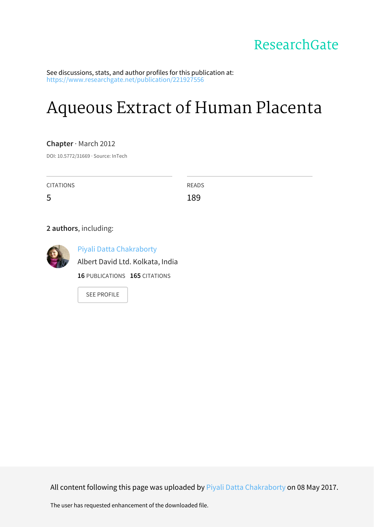## ResearchGate

See discussions, stats, and author profiles for this publication at: [https://www.researchgate.net/publication/221927556](https://www.researchgate.net/publication/221927556_Aqueous_Extract_of_Human_Placenta?enrichId=rgreq-d884e8ea60f76e65e795677d1e7e22a8-XXX&enrichSource=Y292ZXJQYWdlOzIyMTkyNzU1NjtBUzoxMDIwMDgxNTc2Mzg2ODdAMTQwMTMzMjA0ODg3OA%3D%3D&el=1_x_2&_esc=publicationCoverPdf)

# [Aqueous](https://www.researchgate.net/publication/221927556_Aqueous_Extract_of_Human_Placenta?enrichId=rgreq-d884e8ea60f76e65e795677d1e7e22a8-XXX&enrichSource=Y292ZXJQYWdlOzIyMTkyNzU1NjtBUzoxMDIwMDgxNTc2Mzg2ODdAMTQwMTMzMjA0ODg3OA%3D%3D&el=1_x_3&_esc=publicationCoverPdf) Extract of Human Placenta

**Chapter** · March 2012

DOI: 10.5772/31669 · Source: InTech

| <b>CITATIONS</b> | <b>READS</b> |
|------------------|--------------|
| 5                | 189          |

#### **2 authors**, including:



SEE [PROFILE](https://www.researchgate.net/profile/Dr_Piyali_Datta_Chakraborty?enrichId=rgreq-d884e8ea60f76e65e795677d1e7e22a8-XXX&enrichSource=Y292ZXJQYWdlOzIyMTkyNzU1NjtBUzoxMDIwMDgxNTc2Mzg2ODdAMTQwMTMzMjA0ODg3OA%3D%3D&el=1_x_7&_esc=publicationCoverPdf)

All content following this page was uploaded by Piyali Datta [Chakraborty](https://www.researchgate.net/profile/Dr_Piyali_Datta_Chakraborty?enrichId=rgreq-d884e8ea60f76e65e795677d1e7e22a8-XXX&enrichSource=Y292ZXJQYWdlOzIyMTkyNzU1NjtBUzoxMDIwMDgxNTc2Mzg2ODdAMTQwMTMzMjA0ODg3OA%3D%3D&el=1_x_10&_esc=publicationCoverPdf) on 08 May 2017.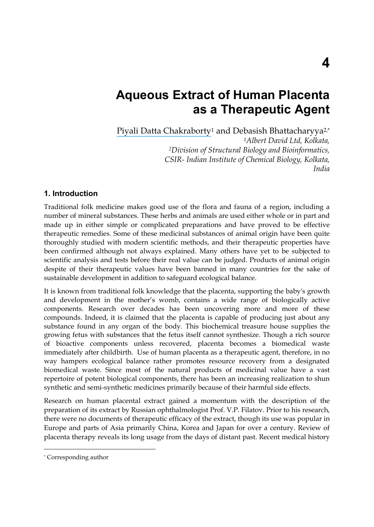## **Aqueous Extract of Human Placenta as a Therapeutic Agent**

[Piyali Datta Chakraborty](https://www.researchgate.net/profile/Dr_Piyali_Datta_Chakraborty?el=1_x_100&enrichId=rgreq-d884e8ea60f76e65e795677d1e7e22a8-XXX&enrichSource=Y292ZXJQYWdlOzIyMTkyNzU1NjtBUzoxMDIwMDgxNTc2Mzg2ODdAMTQwMTMzMjA0ODg3OA==)<sup>1</sup> and Debasish Bhattacharyya<sup>2,\*</sup> *1Albert David Ltd, Kolkata, 2Division of Structural Biology and Bioinformatics, CSIR- Indian Institute of Chemical Biology, Kolkata, India* 

#### **1. Introduction**

Traditional folk medicine makes good use of the flora and fauna of a region, including a number of mineral substances. These herbs and animals are used either whole or in part and made up in either simple or complicated preparations and have proved to be effective therapeutic remedies. Some of these medicinal substances of animal origin have been quite thoroughly studied with modern scientific methods, and their therapeutic properties have been confirmed although not always explained. Many others have yet to be subjected to scientific analysis and tests before their real value can be judged. Products of animal origin despite of their therapeutic values have been banned in many countries for the sake of sustainable development in addition to safeguard ecological balance.

It is known from traditional folk knowledge that the placenta, supporting the baby's growth and development in the mother's womb, contains a wide range of biologically active components. Research over decades has been uncovering more and more of these compounds. Indeed, it is claimed that the placenta is capable of producing just about any substance found in any organ of the body. This biochemical treasure house supplies the growing fetus with substances that the fetus itself cannot synthesize. Though a rich source of bioactive components unless recovered, placenta becomes a biomedical waste immediately after childbirth. Use of human placenta as a therapeutic agent, therefore, in no way hampers ecological balance rather promotes resource recovery from a designated biomedical waste. Since most of the natural products of medicinal value have a vast repertoire of potent biological components, there has been an increasing realization to shun synthetic and semi-synthetic medicines primarily because of their harmful side effects.

Research on human placental extract gained a momentum with the description of the preparation of its extract by Russian ophthalmologist Prof. V.P. Filatov. Prior to his research, there were no documents of therapeutic efficacy of the extract, though its use was popular in Europe and parts of Asia primarily China, Korea and Japan for over a century. Review of placenta therapy reveals its long usage from the days of distant past. Recent medical history

 $\overline{a}$ 

<sup>\*</sup> Corresponding author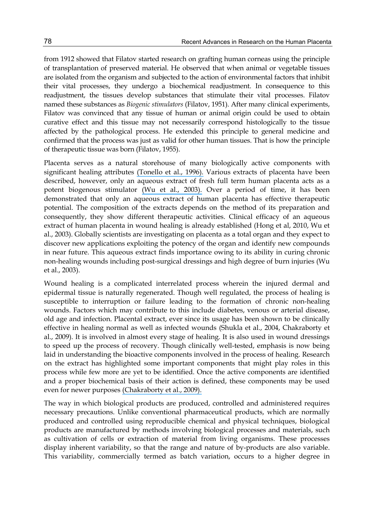from 1912 showed that Filatov started research on grafting human corneas using the principle of transplantation of preserved material. He observed that when animal or vegetable tissues are isolated from the organism and subjected to the action of environmental factors that inhibit their vital processes, they undergo a biochemical readjustment. In consequence to this readjustment, the tissues develop substances that stimulate their vital processes. Filatov named these substances as *Biogenic stimulators* (Filatov, 1951). After many clinical experiments, Filatov was convinced that any tissue of human or animal origin could be used to obtain curative effect and this tissue may not necessarily correspond histologically to the tissue affected by the pathological process. He extended this principle to general medicine and confirmed that the process was just as valid for other human tissues. That is how the principle of therapeutic tissue was born (Filatov, 1955).

Placenta serves as a natural storehouse of many biologically active components with significant healing attributes [\(Tonello et al., 1996\).](https://www.researchgate.net/publication/14328765_Characterization_and_quantitation_of_the_active_polynucleotide_fraction_PDRN_from_human_placenta_a_tissue_repair_stimulating_agent?el=1_x_8&enrichId=rgreq-d884e8ea60f76e65e795677d1e7e22a8-XXX&enrichSource=Y292ZXJQYWdlOzIyMTkyNzU1NjtBUzoxMDIwMDgxNTc2Mzg2ODdAMTQwMTMzMjA0ODg3OA==) Various extracts of placenta have been described, however, only an aqueous extract of fresh full term human placenta acts as a potent biogenous stimulator [\(Wu et al., 2003\).](https://www.researchgate.net/publication/10899527_Wound_healing_effects_of_porcine_placental_extracts_on_rats_with_thermal_injury?el=1_x_8&enrichId=rgreq-d884e8ea60f76e65e795677d1e7e22a8-XXX&enrichSource=Y292ZXJQYWdlOzIyMTkyNzU1NjtBUzoxMDIwMDgxNTc2Mzg2ODdAMTQwMTMzMjA0ODg3OA==) Over a period of time, it has been demonstrated that only an aqueous extract of human placenta has effective therapeutic potential. The composition of the extracts depends on the method of its preparation and consequently, they show different therapeutic activities. Clinical efficacy of an aqueous extract of human placenta in wound healing is already established (Hong et al, 2010, Wu et al., 2003). Globally scientists are investigating on placenta as a total organ and they expect to discover new applications exploiting the potency of the organ and identify new compounds in near future. This aqueous extract finds importance owing to its ability in curing chronic non-healing wounds including post-surgical dressings and high degree of burn injuries (Wu et al., 2003).

Wound healing is a complicated interrelated process wherein the injured dermal and epidermal tissue is naturally regenerated. Though well regulated, the process of healing is susceptible to interruption or failure leading to the formation of chronic non-healing wounds. Factors which may contribute to this include diabetes, venous or arterial disease, old age and infection. Placental extract, ever since its usage has been shown to be clinically effective in healing normal as well as infected wounds (Shukla et al., 2004, Chakraborty et al., 2009). It is involved in almost every stage of healing. It is also used in wound dressings to speed up the process of recovery. Though clinically well-tested, emphasis is now being laid in understanding the bioactive components involved in the process of healing. Research on the extract has highlighted some important components that might play roles in this process while few more are yet to be identified. Once the active components are identified and a proper biochemical basis of their action is defined, these components may be used even for newer purposes [\(Chakraborty et al., 2009\).](https://www.researchgate.net/publication/38078650_Human_aqueous_extract_as_a_wound_healer?el=1_x_8&enrichId=rgreq-d884e8ea60f76e65e795677d1e7e22a8-XXX&enrichSource=Y292ZXJQYWdlOzIyMTkyNzU1NjtBUzoxMDIwMDgxNTc2Mzg2ODdAMTQwMTMzMjA0ODg3OA==)

The way in which biological products are produced, controlled and administered requires necessary precautions. Unlike conventional pharmaceutical products, which are normally produced and controlled using reproducible chemical and physical techniques, biological products are manufactured by methods involving biological processes and materials, such as cultivation of cells or extraction of material from living organisms. These processes display inherent variability, so that the range and nature of by-products are also variable. This variability, commercially termed as batch variation, occurs to a higher degree in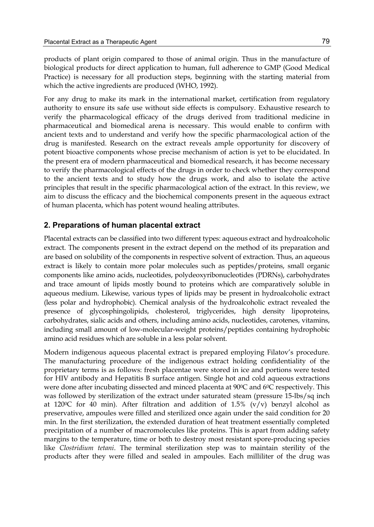products of plant origin compared to those of animal origin. Thus in the manufacture of biological products for direct application to human, full adherence to GMP (Good Medical Practice) is necessary for all production steps, beginning with the starting material from which the active ingredients are produced (WHO, 1992).

For any drug to make its mark in the international market, certification from regulatory authority to ensure its safe use without side effects is compulsory. Exhaustive research to verify the pharmacological efficacy of the drugs derived from traditional medicine in pharmaceutical and biomedical arena is necessary. This would enable to confirm with ancient texts and to understand and verify how the specific pharmacological action of the drug is manifested. Research on the extract reveals ample opportunity for discovery of potent bioactive components whose precise mechanism of action is yet to be elucidated. In the present era of modern pharmaceutical and biomedical research, it has become necessary to verify the pharmacological effects of the drugs in order to check whether they correspond to the ancient texts and to study how the drugs work, and also to isolate the active principles that result in the specific pharmacological action of the extract. In this review, we aim to discuss the efficacy and the biochemical components present in the aqueous extract of human placenta, which has potent wound healing attributes.

#### **2. Preparations of human placental extract**

Placental extracts can be classified into two different types: aqueous extract and hydroalcoholic extract. The components present in the extract depend on the method of its preparation and are based on solubility of the components in respective solvent of extraction. Thus, an aqueous extract is likely to contain more polar molecules such as peptides/proteins, small organic components like amino acids, nucleotides, polydeoxyribonucleotides (PDRNs), carbohydrates and trace amount of lipids mostly bound to proteins which are comparatively soluble in aqueous medium. Likewise, various types of lipids may be present in hydroalcoholic extract (less polar and hydrophobic). Chemical analysis of the hydroalcoholic extract revealed the presence of glycosphingolipids, cholesterol, triglycerides, high density lipoproteins, carbohydrates, sialic acids and others, including amino acids, nucleotides, carotenes, vitamins, including small amount of low-molecular-weight proteins/peptides containing hydrophobic amino acid residues which are soluble in a less polar solvent.

Modern indigenous aqueous placental extract is prepared employing Filatov's procedure. The manufacturing procedure of the indigenous extract holding confidentiality of the proprietary terms is as follows: fresh placentae were stored in ice and portions were tested for HIV antibody and Hepatitis B surface antigen. Single hot and cold aqueous extractions were done after incubating dissected and minced placenta at 90°C and 6°C respectively. This was followed by sterilization of the extract under saturated steam (pressure 15-lbs/sq inch at 120<sup>o</sup>C for 40 min). After filtration and addition of 1.5% ( $v/v$ ) benzyl alcohol as preservative, ampoules were filled and sterilized once again under the said condition for 20 min. In the first sterilization, the extended duration of heat treatment essentially completed precipitation of a number of macromolecules like proteins. This is apart from adding safety margins to the temperature, time or both to destroy most resistant spore-producing species like *Clostridium tetani*. The terminal sterilization step was to maintain sterility of the products after they were filled and sealed in ampoules. Each milliliter of the drug was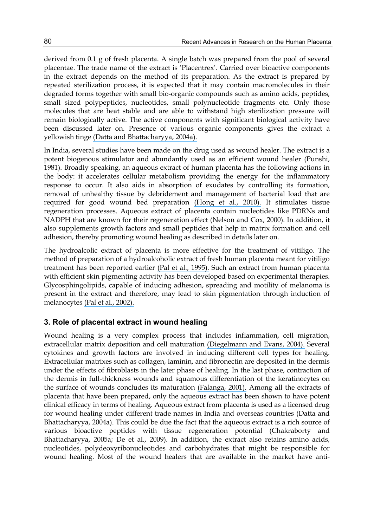derived from 0.1 g of fresh placenta. A single batch was prepared from the pool of several placentae. The trade name of the extract is 'Placentrex'. Carried over bioactive components in the extract depends on the method of its preparation. As the extract is prepared by repeated sterilization process, it is expected that it may contain macromolecules in their degraded forms together with small bio-organic compounds such as amino acids, peptides, small sized polypeptides, nucleotides, small polynucleotide fragments etc. Only those molecules that are heat stable and are able to withstand high sterilization pressure will remain biologically active. The active components with significant biological activity have been discussed later on. Presence of various organic components gives the extract a yellowish tinge [\(Datta and Bhattacharyya, 2004a\).](https://www.researchgate.net/publication/5332121_Spectroscopic_and_chromatographic_evidences_of_NADPH_in_human_placental_extract_used_as_wound_healer?el=1_x_8&enrichId=rgreq-d884e8ea60f76e65e795677d1e7e22a8-XXX&enrichSource=Y292ZXJQYWdlOzIyMTkyNzU1NjtBUzoxMDIwMDgxNTc2Mzg2ODdAMTQwMTMzMjA0ODg3OA==)

In India, several studies have been made on the drug used as wound healer. The extract is a potent biogenous stimulator and abundantly used as an efficient wound healer (Punshi, 1981). Broadly speaking, an aqueous extract of human placenta has the following actions in the body: it accelerates cellular metabolism providing the energy for the inflammatory response to occur. It also aids in absorption of exudates by controlling its formation, removal of unhealthy tissue by debridement and management of bacterial load that are required for good wound bed preparation [\(Hong et al., 2010\).](https://www.researchgate.net/publication/44673381_The_Effect_of_Human_Placenta_Extract_in_a_Wound_Healing_Model?el=1_x_8&enrichId=rgreq-d884e8ea60f76e65e795677d1e7e22a8-XXX&enrichSource=Y292ZXJQYWdlOzIyMTkyNzU1NjtBUzoxMDIwMDgxNTc2Mzg2ODdAMTQwMTMzMjA0ODg3OA==) It stimulates tissue regeneration processes. Aqueous extract of placenta contain nucleotides like PDRNs and NADPH that are known for their regeneration effect (Nelson and Cox, 2000). In addition, it also supplements growth factors and small peptides that help in matrix formation and cell adhesion, thereby promoting wound healing as described in details later on.

The hydroalcolic extract of placenta is more effective for the treatment of vitiligo. The method of preparation of a hydroalcoholic extract of fresh human placenta meant for vitiligo treatment has been reported earlier [\(Pal et al., 1995\).](https://www.researchgate.net/publication/15301724_Hydroalcoholic_human_placental_extraxt_Skin_pigmenting_activity_and_gross_chemical_composition?el=1_x_8&enrichId=rgreq-d884e8ea60f76e65e795677d1e7e22a8-XXX&enrichSource=Y292ZXJQYWdlOzIyMTkyNzU1NjtBUzoxMDIwMDgxNTc2Mzg2ODdAMTQwMTMzMjA0ODg3OA==) Such an extract from human placenta with efficient skin pigmenting activity has been developed based on experimental therapies. Glycosphingolipids, capable of inducing adhesion, spreading and motility of melanoma is present in the extract and therefore, may lead to skin pigmentation through induction of melanocytes [\(Pal et al., 2002\).](https://www.researchgate.net/publication/227681177_A_human_placental_extract_in_vivo_and_in_vitro_assessments_of_its_melanocyte_growth_and_pigment-inducing_activities?el=1_x_8&enrichId=rgreq-d884e8ea60f76e65e795677d1e7e22a8-XXX&enrichSource=Y292ZXJQYWdlOzIyMTkyNzU1NjtBUzoxMDIwMDgxNTc2Mzg2ODdAMTQwMTMzMjA0ODg3OA==)

#### **3. Role of placental extract in wound healing**

Wound healing is a very complex process that includes inflammation, cell migration, extracellular matrix deposition and cell maturation [\(Diegelmann and Evans, 2004\).](https://www.researchgate.net/publication/8883986_Wound_Healing_An_Overview_of_Acute_Fibrotic_and_Delayed_Healing?el=1_x_8&enrichId=rgreq-d884e8ea60f76e65e795677d1e7e22a8-XXX&enrichSource=Y292ZXJQYWdlOzIyMTkyNzU1NjtBUzoxMDIwMDgxNTc2Mzg2ODdAMTQwMTMzMjA0ODg3OA==) Several cytokines and growth factors are involved in inducing different cell types for healing. Extracellular matrixes such as collagen, laminin, and fibronectin are deposited in the dermis under the effects of fibroblasts in the later phase of healing. In the last phase, contraction of the dermis in full-thickness wounds and squamous differentiation of the keratinocytes on the surface of wounds concludes its maturation [\(Falanga, 2001\).](https://www.researchgate.net/publication/293108360_Introducing_the_concept_of_wound_bed_preparation?el=1_x_8&enrichId=rgreq-d884e8ea60f76e65e795677d1e7e22a8-XXX&enrichSource=Y292ZXJQYWdlOzIyMTkyNzU1NjtBUzoxMDIwMDgxNTc2Mzg2ODdAMTQwMTMzMjA0ODg3OA==) Among all the extracts of placenta that have been prepared, only the aqueous extract has been shown to have potent clinical efficacy in terms of healing. Aqueous extract from placenta is used as a licensed drug for wound healing under different trade names in India and overseas countries (Datta and Bhattacharyya, 2004a). This could be due the fact that the aqueous extract is a rich source of various bioactive peptides with tissue regeneration potential (Chakraborty and Bhattacharyya, 2005a; De et al., 2009). In addition, the extract also retains amino acids, nucleotides, polydeoxyribonucleotides and carbohydrates that might be responsible for wound healing. Most of the wound healers that are available in the market have anti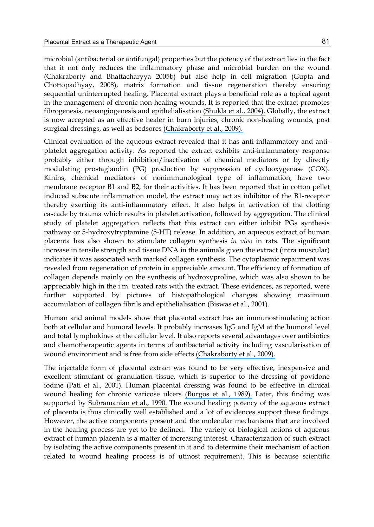microbial (antibacterial or antifungal) properties but the potency of the extract lies in the fact that it not only reduces the inflammatory phase and microbial burden on the wound (Chakraborty and Bhattacharyya 2005b) but also help in cell migration (Gupta and Chottopadhyay, 2008), matrix formation and tissue regeneration thereby ensuring sequential uninterrupted healing. Placental extract plays a beneficial role as a topical agent in the management of chronic non-healing wounds. It is reported that the extract promotes fibrogenesis, neoangiogenesis and epithelialisation [\(Shukla et al., 2004\).](https://www.researchgate.net/publication/8544996_A_trial_to_determine_the_role_of_placental_extract_in_the_treatment_of_chronic_non-healing_wounds?el=1_x_8&enrichId=rgreq-d884e8ea60f76e65e795677d1e7e22a8-XXX&enrichSource=Y292ZXJQYWdlOzIyMTkyNzU1NjtBUzoxMDIwMDgxNTc2Mzg2ODdAMTQwMTMzMjA0ODg3OA==) Globally, the extract is now accepted as an effective healer in burn injuries, chronic non-healing wounds, post surgical dressings, as well as bedsores [\(Chakraborty et al., 2009\).](https://www.researchgate.net/publication/38078650_Human_aqueous_extract_as_a_wound_healer?el=1_x_8&enrichId=rgreq-d884e8ea60f76e65e795677d1e7e22a8-XXX&enrichSource=Y292ZXJQYWdlOzIyMTkyNzU1NjtBUzoxMDIwMDgxNTc2Mzg2ODdAMTQwMTMzMjA0ODg3OA==)

Clinical evaluation of the aqueous extract revealed that it has anti-inflammatory and antiplatelet aggregation activity. As reported the extract exhibits anti-inflammatory response probably either through inhibition/inactivation of chemical mediators or by directly modulating prostaglandin (PG) production by suppression of cyclooxygenase (COX). Kinins, chemical mediators of nonimmunological type of inflammation, have two membrane receptor B1 and B2, for their activities. It has been reported that in cotton pellet induced subacute inflammation model, the extract may act as inhibitor of the B1-receptor thereby exerting its anti-inflammatory effect. It also helps in activation of the clotting cascade by trauma which results in platelet activation, followed by aggregation. The clinical study of platelet aggregation reflects that this extract can either inhibit PGs synthesis pathway or 5-hydroxytryptamine (5-HT) release. In addition, an aqueous extract of human placenta has also shown to stimulate collagen synthesis *in vivo* in rats. The significant increase in tensile strength and tissue DNA in the animals given the extract (intra muscular) indicates it was associated with marked collagen synthesis. The cytoplasmic repairment was revealed from regeneration of protein in appreciable amount. The efficiency of formation of collagen depends mainly on the synthesis of hydroxyproline, which was also shown to be appreciably high in the i.m. treated rats with the extract. These evidences, as reported, were further supported by pictures of histopathological changes showing maximum accumulation of collagen fibrils and epithelialisation (Biswas et al., 2001).

Human and animal models show that placental extract has an immunostimulating action both at cellular and humoral levels. It probably increases IgG and IgM at the humoral level and total lymphokines at the cellular level. It also reports several advantages over antibiotics and chemotherapeutic agents in terms of antibacterial activity including vascularisation of wound environment and is free from side effects [\(Chakraborty et al., 2009\).](https://www.researchgate.net/publication/38078650_Human_aqueous_extract_as_a_wound_healer?el=1_x_8&enrichId=rgreq-d884e8ea60f76e65e795677d1e7e22a8-XXX&enrichSource=Y292ZXJQYWdlOzIyMTkyNzU1NjtBUzoxMDIwMDgxNTc2Mzg2ODdAMTQwMTMzMjA0ODg3OA==)

The injectable form of placental extract was found to be very effective, inexpensive and excellent stimulant of granulation tissue, which is superior to the dressing of povidone iodine (Pati et al., 2001). Human placental dressing was found to be effective in clinical wound healing for chronic varicose ulcers [\(Burgos et al., 1989\).](https://www.researchgate.net/publication/20474003_Placental_angiogenic_and_growth_factors_in_the_treatment_of_chronic_varicose_ulcers_Preliminary_communication?el=1_x_8&enrichId=rgreq-d884e8ea60f76e65e795677d1e7e22a8-XXX&enrichSource=Y292ZXJQYWdlOzIyMTkyNzU1NjtBUzoxMDIwMDgxNTc2Mzg2ODdAMTQwMTMzMjA0ODg3OA==) Later, this finding was supported by [Subramanian et al., 1990.](https://www.researchgate.net/publication/21068692_Effects_of_placental_dressing_indolent_ulcers?el=1_x_8&enrichId=rgreq-d884e8ea60f76e65e795677d1e7e22a8-XXX&enrichSource=Y292ZXJQYWdlOzIyMTkyNzU1NjtBUzoxMDIwMDgxNTc2Mzg2ODdAMTQwMTMzMjA0ODg3OA==) The wound healing potency of the aqueous extract of placenta is thus clinically well established and a lot of evidences support these findings. However, the active components present and the molecular mechanisms that are involved in the healing process are yet to be defined. The variety of biological actions of aqueous extract of human placenta is a matter of increasing interest. Characterization of such extract by isolating the active components present in it and to determine their mechanism of action related to wound healing process is of utmost requirement. This is because scientific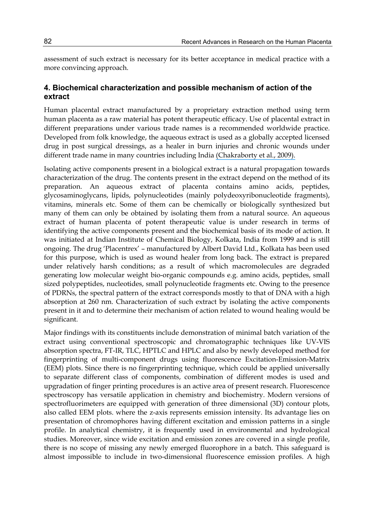assessment of such extract is necessary for its better acceptance in medical practice with a more convincing approach.

#### **4. Biochemical characterization and possible mechanism of action of the extract**

Human placental extract manufactured by a proprietary extraction method using term human placenta as a raw material has potent therapeutic efficacy. Use of placental extract in different preparations under various trade names is a recommended worldwide practice. Developed from folk knowledge, the aqueous extract is used as a globally accepted licensed drug in post surgical dressings, as a healer in burn injuries and chronic wounds under different trade name in many countries including India [\(Chakraborty et al., 2009\).](https://www.researchgate.net/publication/38078650_Human_aqueous_extract_as_a_wound_healer?el=1_x_8&enrichId=rgreq-d884e8ea60f76e65e795677d1e7e22a8-XXX&enrichSource=Y292ZXJQYWdlOzIyMTkyNzU1NjtBUzoxMDIwMDgxNTc2Mzg2ODdAMTQwMTMzMjA0ODg3OA==) 

Isolating active components present in a biological extract is a natural propagation towards characterization of the drug. The contents present in the extract depend on the method of its preparation. An aqueous extract of placenta contains amino acids, peptides, glycosaminoglycans, lipids, polynucleotides (mainly polydeoxyribonucleotide fragments), vitamins, minerals etc. Some of them can be chemically or biologically synthesized but many of them can only be obtained by isolating them from a natural source. An aqueous extract of human placenta of potent therapeutic value is under research in terms of identifying the active components present and the biochemical basis of its mode of action. It was initiated at Indian Institute of Chemical Biology, Kolkata, India from 1999 and is still ongoing. The drug 'Placentrex' – manufactured by Albert David Ltd., Kolkata has been used for this purpose, which is used as wound healer from long back. The extract is prepared under relatively harsh conditions; as a result of which macromolecules are degraded generating low molecular weight bio-organic compounds e.g. amino acids, peptides, small sized polypeptides, nucleotides, small polynucleotide fragments etc. Owing to the presence of PDRNs, the spectral pattern of the extract corresponds mostly to that of DNA with a high absorption at 260 nm. Characterization of such extract by isolating the active components present in it and to determine their mechanism of action related to wound healing would be significant.

Major findings with its constituents include demonstration of minimal batch variation of the extract using conventional spectroscopic and chromatographic techniques like UV-VIS absorption spectra, FT-IR, TLC, HPTLC and HPLC and also by newly developed method for fingerprinting of multi-component drugs using fluorescence Excitation-Emission-Matrix (EEM) plots. Since there is no fingerprinting technique, which could be applied universally to separate different class of components, combination of different modes is used and upgradation of finger printing procedures is an active area of present research. Fluorescence spectroscopy has versatile application in chemistry and biochemistry. Modern versions of spectrofluorimeters are equipped with generation of three dimensional (3D) contour plots, also called EEM plots. where the z-axis represents emission intensity. Its advantage lies on presentation of chromophores having different excitation and emission patterns in a single profile. In analytical chemistry, it is frequently used in environmental and hydrological studies. Moreover, since wide excitation and emission zones are covered in a single profile, there is no scope of missing any newly emerged fluorophore in a batch. This safeguard is almost impossible to include in two-dimensional fluorescence emission profiles. A high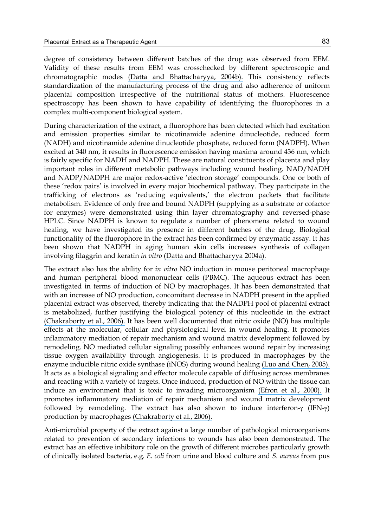degree of consistency between different batches of the drug was observed from EEM. Validity of these results from EEM was crosschecked by different spectroscopic and chromatographic modes [\(Datta and Bhattacharyya, 2004b\).](https://www.researchgate.net/publication/8362895_Analysis_of_fluorescence_excitation-emission_matrix_of_multicomponent_drugs_A_case_study_with_human_placental_extract_used_as_wound_healer?el=1_x_8&enrichId=rgreq-d884e8ea60f76e65e795677d1e7e22a8-XXX&enrichSource=Y292ZXJQYWdlOzIyMTkyNzU1NjtBUzoxMDIwMDgxNTc2Mzg2ODdAMTQwMTMzMjA0ODg3OA==) This consistency reflects standardization of the manufacturing process of the drug and also adherence of uniform placental composition irrespective of the nutritional status of mothers. Fluorescence spectroscopy has been shown to have capability of identifying the fluorophores in a complex multi-component biological system.

During characterization of the extract, a fluorophore has been detected which had excitation and emission properties similar to nicotinamide adenine dinucleotide, reduced form (NADH) and nicotinamide adenine dinucleotide phosphate, reduced form (NADPH). When excited at 340 nm, it results in fluorescence emission having maxima around 436 nm, which is fairly specific for NADH and NADPH. These are natural constituents of placenta and play important roles in different metabolic pathways including wound healing. NAD/NADH and NADP/NADPH are major redox-active 'electron storage' compounds. One or both of these 'redox pairs' is involved in every major biochemical pathway. They participate in the trafficking of electrons as 'reducing equivalents,' the electron packets that facilitate metabolism. Evidence of only free and bound NADPH (supplying as a substrate or cofactor for enzymes) were demonstrated using thin layer chromatography and reversed-phase HPLC. Since NADPH is known to regulate a number of phenomena related to wound healing, we have investigated its presence in different batches of the drug. Biological functionality of the fluorophore in the extract has been confirmed by enzymatic assay. It has been shown that NADPH in aging human skin cells increases synthesis of collagen involving filaggrin and keratin *in vitro* [\(Datta and Bhattacharyya 2004a\).](https://www.researchgate.net/publication/5332121_Spectroscopic_and_chromatographic_evidences_of_NADPH_in_human_placental_extract_used_as_wound_healer?el=1_x_8&enrichId=rgreq-d884e8ea60f76e65e795677d1e7e22a8-XXX&enrichSource=Y292ZXJQYWdlOzIyMTkyNzU1NjtBUzoxMDIwMDgxNTc2Mzg2ODdAMTQwMTMzMjA0ODg3OA==)

The extract also has the ability for *in vitro* NO induction in mouse peritoneal macrophage and human peripheral blood mononuclear cells (PBMC). The aqueous extract has been investigated in terms of induction of NO by macrophages. It has been demonstrated that with an increase of NO production, concomitant decrease in NADPH present in the applied placental extract was observed, thereby indicating that the NADPH pool of placental extract is metabolized, further justifying the biological potency of this nucleotide in the extract [\(Chakraborty et al., 2006\).](https://www.researchgate.net/publication/7436148_In_vitro_induction_of_nitric_oxide_by_mouse_peritoneal_macrophages_treated_with_human_placental_extract?el=1_x_8&enrichId=rgreq-d884e8ea60f76e65e795677d1e7e22a8-XXX&enrichSource=Y292ZXJQYWdlOzIyMTkyNzU1NjtBUzoxMDIwMDgxNTc2Mzg2ODdAMTQwMTMzMjA0ODg3OA==) It has been well documented that nitric oxide (NO) has multiple effects at the molecular, cellular and physiological level in wound healing. It promotes inflammatory mediation of repair mechanism and wound matrix development followed by remodeling. NO mediated cellular signaling possibly enhances wound repair by increasing tissue oxygen availability through angiogenesis. It is produced in macrophages by the enzyme inducible nitric oxide synthase (iNOS) during wound healing [\(Luo and Chen, 2005\).](https://www.researchgate.net/publication/8017091_Luo_JD_Chen_AFNitric_oxide_a_newly_discovered_function_on_wound_healing_Acta_Pharmacol_Sin_26259-264?el=1_x_8&enrichId=rgreq-d884e8ea60f76e65e795677d1e7e22a8-XXX&enrichSource=Y292ZXJQYWdlOzIyMTkyNzU1NjtBUzoxMDIwMDgxNTc2Mzg2ODdAMTQwMTMzMjA0ODg3OA==) It acts as a biological signaling and effector molecule capable of diffusing across membranes and reacting with a variety of targets. Once induced, production of NO within the tissue can induce an environment that is toxic to invading microorganism [\(Efron et al., 2000\).](https://www.researchgate.net/publication/12448089_Role_of_nitric_oxide_in_wound_healing?el=1_x_8&enrichId=rgreq-d884e8ea60f76e65e795677d1e7e22a8-XXX&enrichSource=Y292ZXJQYWdlOzIyMTkyNzU1NjtBUzoxMDIwMDgxNTc2Mzg2ODdAMTQwMTMzMjA0ODg3OA==) It promotes inflammatory mediation of repair mechanism and wound matrix development followed by remodeling. The extract has also shown to induce interferon- $\gamma$  (IFN- $\gamma$ ) production by macrophages [\(Chakraborty et al., 2006\).](https://www.researchgate.net/publication/7436148_In_vitro_induction_of_nitric_oxide_by_mouse_peritoneal_macrophages_treated_with_human_placental_extract?el=1_x_8&enrichId=rgreq-d884e8ea60f76e65e795677d1e7e22a8-XXX&enrichSource=Y292ZXJQYWdlOzIyMTkyNzU1NjtBUzoxMDIwMDgxNTc2Mzg2ODdAMTQwMTMzMjA0ODg3OA==) 

Anti-microbial property of the extract against a large number of pathological microorganisms related to prevention of secondary infections to wounds has also been demonstrated. The extract has an effective inhibitory role on the growth of different microbes particularly growth of clinically isolated bacteria, e.g. *E. coli* from urine and blood culture and *S. aureus* from pus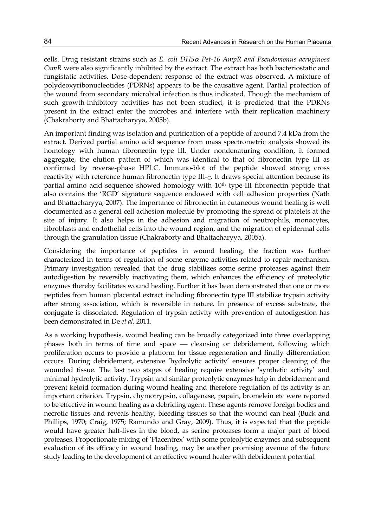cells. Drug resistant strains such as *E. coli DH5* $\alpha$  *Pet-16 AmpR and Pseudomonus aeruginosa CamR* were also significantly inhibited by the extract. The extract has both bacteriostatic and fungistatic activities. Dose-dependent response of the extract was observed. A mixture of polydeoxyribonucleotides (PDRNs) appears to be the causative agent. Partial protection of the wound from secondary microbial infection is thus indicated. Though the mechanism of such growth-inhibitory activities has not been studied, it is predicted that the PDRNs present in the extract enter the microbes and interfere with their replication machinery (Chakraborty and Bhattacharyya, 2005b).

An important finding was isolation and purification of a peptide of around 7.4 kDa from the extract. Derived partial amino acid sequence from mass spectrometric analysis showed its homology with human fibronectin type III. Under nondenaturing condition, it formed aggregate, the elution pattern of which was identical to that of fibronectin type III as confirmed by reverse-phase HPLC. Immuno-blot of the peptide showed strong cross reactivity with reference human fibronectin type III-<sub>C</sub>. It draws special attention because its partial amino acid sequence showed homology with 10th type-III fibronectin peptide that also contains the 'RGD' signature sequence endowed with cell adhesion properties (Nath and Bhattacharyya, 2007). The importance of fibronectin in cutaneous wound healing is well documented as a general cell adhesion molecule by promoting the spread of platelets at the site of injury. It also helps in the adhesion and migration of neutrophils, monocytes, fibroblasts and endothelial cells into the wound region, and the migration of epidermal cells through the granulation tissue (Chakraborty and Bhattacharyya, 2005a).

Considering the importance of peptides in wound healing, the fraction was further characterized in terms of regulation of some enzyme activities related to repair mechanism. Primary investigation revealed that the drug stabilizes some serine proteases against their autodigestion by reversibly inactivating them, which enhances the efficiency of proteolytic enzymes thereby facilitates wound healing. Further it has been demonstrated that one or more peptides from human placental extract including fibronectin type III stabilize trypsin activity after strong association, which is reversible in nature. In presence of excess substrate, the conjugate is dissociated. Regulation of trypsin activity with prevention of autodigestion has been demonstrated in De *et al*, 2011.

As a working hypothesis, wound healing can be broadly categorized into three overlapping phases both in terms of time and space - cleansing or debridement, following which proliferation occurs to provide a platform for tissue regeneration and finally differentiation occurs. During debridement, extensive 'hydrolytic activity' ensures proper cleaning of the wounded tissue. The last two stages of healing require extensive 'synthetic activity' and minimal hydrolytic activity. Trypsin and similar proteolytic enzymes help in debridement and prevent keloid formation during wound healing and therefore regulation of its activity is an important criterion. Trypsin, chymotrypsin, collagenase, papain, bromelein etc were reported to be effective in wound healing as a debriding agent. These agents remove foreign bodies and necrotic tissues and reveals healthy, bleeding tissues so that the wound can heal (Buck and Phillips, 1970; Craig, 1975; Ramundo and Gray, 2009). Thus, it is expected that the peptide would have greater half-lives in the blood, as serine proteases form a major part of blood proteases. Proportionate mixing of 'Placentrex' with some proteolytic enzymes and subsequent evaluation of its efficacy in wound healing, may be another promising avenue of the future study leading to the development of an effective wound healer with debridement potential.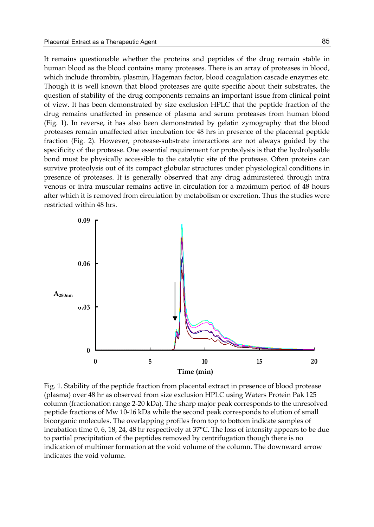It remains questionable whether the proteins and peptides of the drug remain stable in human blood as the blood contains many proteases. There is an array of proteases in blood, which include thrombin, plasmin, Hageman factor, blood coagulation cascade enzymes etc. Though it is well known that blood proteases are quite specific about their substrates, the question of stability of the drug components remains an important issue from clinical point of view. It has been demonstrated by size exclusion HPLC that the peptide fraction of the drug remains unaffected in presence of plasma and serum proteases from human blood (Fig. 1). In reverse, it has also been demonstrated by gelatin zymography that the blood proteases remain unaffected after incubation for 48 hrs in presence of the placental peptide fraction (Fig. 2). However, protease-substrate interactions are not always guided by the specificity of the protease. One essential requirement for proteolysis is that the hydrolysable bond must be physically accessible to the catalytic site of the protease. Often proteins can survive proteolysis out of its compact globular structures under physiological conditions in presence of proteases. It is generally observed that any drug administered through intra venous or intra muscular remains active in circulation for a maximum period of 48 hours after which it is removed from circulation by metabolism or excretion. Thus the studies were restricted within 48 hrs.



Fig. 1. Stability of the peptide fraction from placental extract in presence of blood protease (plasma) over 48 hr as observed from size exclusion HPLC using Waters Protein Pak 125 column (fractionation range 2-20 kDa). The sharp major peak corresponds to the unresolved peptide fractions of Mw 10-16 kDa while the second peak corresponds to elution of small bioorganic molecules. The overlapping profiles from top to bottom indicate samples of incubation time 0, 6, 18, 24, 48 hr respectively at 37°C. The loss of intensity appears to be due to partial precipitation of the peptides removed by centrifugation though there is no indication of multimer formation at the void volume of the column. The downward arrow indicates the void volume.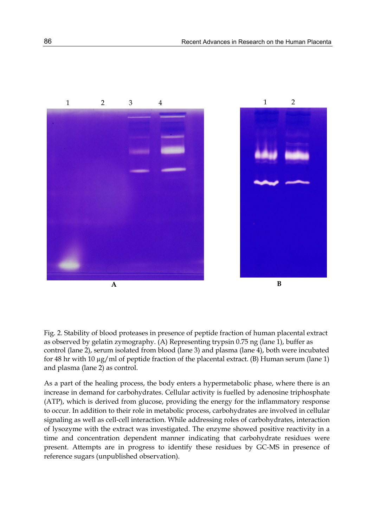

Fig. 2. Stability of blood proteases in presence of peptide fraction of human placental extract as observed by gelatin zymography. (A) Representing trypsin 0.75 ng (lane 1), buffer as control (lane 2), serum isolated from blood (lane 3) and plasma (lane 4), both were incubated for 48 hr with 10  $\mu$ g/ml of peptide fraction of the placental extract. (B) Human serum (lane 1) and plasma (lane 2) as control.

As a part of the healing process, the body enters a hypermetabolic phase, where there is an increase in demand for carbohydrates. Cellular activity is fuelled by adenosine triphosphate (ATP), which is derived from glucose, providing the energy for the inflammatory response to occur. In addition to their role in metabolic process, carbohydrates are involved in cellular signaling as well as cell-cell interaction. While addressing roles of carbohydrates, interaction of lysozyme with the extract was investigated. The enzyme showed positive reactivity in a time and concentration dependent manner indicating that carbohydrate residues were present. Attempts are in progress to identify these residues by GC-MS in presence of reference sugars (unpublished observation).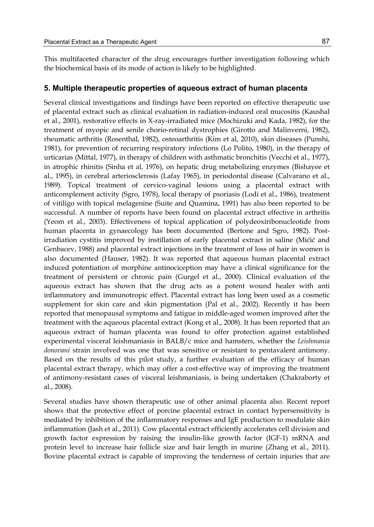This multifaceted character of the drug encourages further investigation following which the biochemical basis of its mode of action is likely to be highlighted.

#### **5. Multiple therapeutic properties of aqueous extract of human placenta**

Several clinical investigations and findings have been reported on effective therapeutic use of placental extract such as clinical evaluation in radiation-induced oral mucositis (Kaushal et al., 2001), restorative effects in X-ray-irradiated mice (Mochizuki and Kada, 1982), for the treatment of myopic and senile chorio-retinal dystrophies (Girotto and Malinverni, 1982), rheumatic arthritis (Rosenthal, 1982), osteoarthritis (Kim et al, 2010), skin diseases (Punshi, 1981), for prevention of recurring respiratory infections (Lo Polito, 1980), in the therapy of urticarias (Mittal, 1977), in therapy of children with asthmatic bronchitis (Vecchi et al., 1977), in atrophic rhinitis (Sinha et al, 1976), on hepatic drug metabolizing enzymes (Bishayee et al., 1995), in cerebral arteriosclerosis (Lafay 1965), in periodontal disease (Calvarano et al., 1989). Topical treatment of cervico-vaginal lesions using a placental extract with anticomplement activity (Sgro, 1978), local therapy of psoriasis (Lodi et al., 1986), treatment of vitiligo with topical melagenine (Suite and Quamina, 1991) has also been reported to be successful. A number of reports have been found on placental extract effective in arthritis (Yeom et al., 2003). Effectiveness of topical application of polydeoxiribonucleotide from human placenta in gynaecology has been documented (Bertone and Sgro, 1982). Postirradiation cystitis improved by instillation of early placental extract in saline (Mićić and Genbacev, 1988) and placental extract injections in the treatment of loss of hair in women is also documented (Hauser, 1982). It was reported that aqueous human placental extract induced potentiation of morphine antinociception may have a clinical significance for the treatment of persistent or chronic pain (Gurgel et al., 2000). Clinical evaluation of the aqueous extract has shown that the drug acts as a potent wound healer with anti inflammatory and immunotropic effect. Placental extract has long been used as a cosmetic supplement for skin care and skin pigmentation (Pal et al., 2002). Recently it has been reported that menopausal symptoms and fatigue in middle-aged women improved after the treatment with the aqueous placental extract (Kong et al., 2008). It has been reported that an aqueous extract of human placenta was found to offer protection against established experimental visceral leishmaniasis in BALB/c mice and hamsters, whether the *Leishmania donovani* strain involved was one that was sensitive or resistant to pentavalent antimony. Based on the results of this pilot study, a further evaluation of the efficacy of human placental extract therapy, which may offer a cost-effective way of improving the treatment of antimony-resistant cases of visceral leishmaniasis, is being undertaken (Chakraborty et al., 2008).

Several studies have shown therapeutic use of other animal placenta also. Recent report shows that the protective effect of porcine placental extract in contact hypersensitivity is mediated by inhibition of the inflammatory responses and IgE production to modulate skin inflammation (Jash et al., 2011). Cow placental extract efficiently accelerates cell division and growth factor expression by raising the insulin-like growth factor (IGF-1) mRNA and protein level to increase hair follicle size and hair length in murine (Zhang et al., 2011). Bovine placental extract is capable of improving the tenderness of certain injuries that are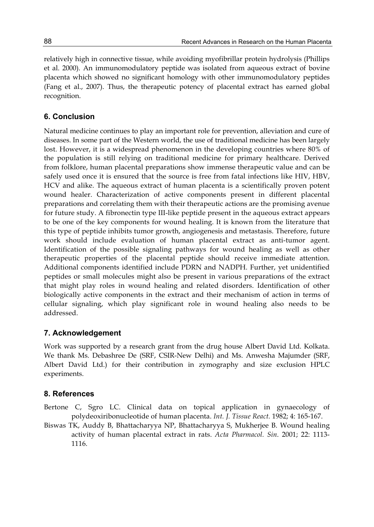relatively high in connective tissue, while avoiding myofibrillar protein hydrolysis (Phillips et al. 2000). An immunomodulatory peptide was isolated from aqueous extract of bovine placenta which showed no significant homology with other immunomodulatory peptides (Fang et al., 2007). Thus, the therapeutic potency of placental extract has earned global recognition.

### **6. Conclusion**

Natural medicine continues to play an important role for prevention, alleviation and cure of diseases. In some part of the Western world, the use of traditional medicine has been largely lost. However, it is a widespread phenomenon in the developing countries where 80% of the population is still relying on traditional medicine for primary healthcare. Derived from folklore, human placental preparations show immense therapeutic value and can be safely used once it is ensured that the source is free from fatal infections like HIV, HBV, HCV and alike. The aqueous extract of human placenta is a scientifically proven potent wound healer. Characterization of active components present in different placental preparations and correlating them with their therapeutic actions are the promising avenue for future study. A fibronectin type III-like peptide present in the aqueous extract appears to be one of the key components for wound healing. It is known from the literature that this type of peptide inhibits tumor growth, angiogenesis and metastasis. Therefore, future work should include evaluation of human placental extract as anti-tumor agent. Identification of the possible signaling pathways for wound healing as well as other therapeutic properties of the placental peptide should receive immediate attention. Additional components identified include PDRN and NADPH. Further, yet unidentified peptides or small molecules might also be present in various preparations of the extract that might play roles in wound healing and related disorders. Identification of other biologically active components in the extract and their mechanism of action in terms of cellular signaling, which play significant role in wound healing also needs to be addressed.

### **7. Acknowledgement**

Work was supported by a research grant from the drug house Albert David Ltd. Kolkata. We thank Ms. Debashree De (SRF, CSIR-New Delhi) and Ms. Anwesha Majumder (SRF, Albert David Ltd.) for their contribution in zymography and size exclusion HPLC experiments.

### **8. References**

Bertone C, Sgro LC. Clinical data on topical application in gynaecology of polydeoxiribonucleotide of human placenta. *Int. J. Tissue React.* 1982; 4: 165-167.

Biswas TK, Auddy B, Bhattacharyya NP, Bhattacharyya S, Mukherjee B. Wound healing activity of human placental extract in rats. *Acta Pharmacol. Sin*. 2001; 22: 1113- 1116.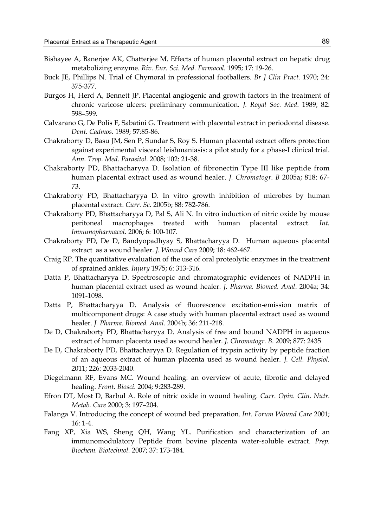- Bishayee A, Banerjee AK, Chatterjee M. Effects of human placental extract on hepatic drug metabolizing enzyme. *Riv. Eur. Sci. Med. Farmacol.* 1995; 17: 19-26.
- Buck JE, Phillips N. Trial of Chymoral in professional footballers. *Br J Clin Pract.* 1970; 24: 375-377.
- Burgos H, Herd A, Bennett JP. Placental angiogenic and growth factors in the treatment of chronic varicose ulcers: preliminary communication. *J. Royal Soc. Med*. 1989; 82: 598–599.
- Calvarano G, De Polis F, Sabatini G. Treatment with placental extract in periodontal disease. *Dent. Cadmos.* 1989; 57:85-86.
- Chakraborty D, Basu JM, Sen P, Sundar S, Roy S. Human placental extract offers protection against experimental visceral leishmaniasis: a pilot study for a phase-I clinical trial. *Ann. Trop. Med. Parasitol.* 2008; 102: 21-38.
- Chakraborty PD, Bhattacharyya D. Isolation of fibronectin Type III like peptide from human placental extract used as wound healer. *J. Chromatogr. B* 2005a; 818: 67- 73.
- Chakraborty PD, Bhattacharyya D. In vitro growth inhibition of microbes by human placental extract. *Curr. Sc*. 2005b; 88: 782-786.
- Chakraborty PD, Bhattacharyya D, Pal S, Ali N. In vitro induction of nitric oxide by mouse peritoneal macrophages treated with human placental extract. *Int. Immunopharmacol.* 2006; 6: 100-107.
- Chakraborty PD, De D, Bandyopadhyay S, Bhattacharyya D. Human aqueous placental extract as a wound healer. *J. Wound Care* 2009; 18: 462-467.
- Craig RP. The quantitative evaluation of the use of oral proteolytic enzymes in the treatment of sprained ankles. *Injury* 1975; 6: 313-316.
- Datta P, Bhattacharyya D. Spectroscopic and chromatographic evidences of NADPH in human placental extract used as wound healer. *J. Pharma. Biomed. Anal*. 2004a; 34: 1091-1098.
- Datta P, Bhattacharyya D. Analysis of fluorescence excitation-emission matrix of multicomponent drugs: A case study with human placental extract used as wound healer. *J. Pharma. Biomed. Anal.* 2004b; 36: 211-218.
- De D, Chakraborty PD, Bhattacharyya D. Analysis of free and bound NADPH in aqueous extract of human placenta used as wound healer. *J. Chromatogr. B.* 2009; 877: 2435
- De D, Chakraborty PD, Bhattacharyya D. Regulation of trypsin activity by peptide fraction of an aqueous extract of human placenta used as wound healer. *J. Cell. Physiol.* 2011; 226: 2033-2040.
- Diegelmann RF, Evans MC. Wound healing: an overview of acute, fibrotic and delayed healing. *Front. Biosci.* 2004; 9:283-289.
- Efron DT, Most D, Barbul A. Role of nitric oxide in wound healing. *Curr. Opin. Clin. Nutr. Metab. Care* 2000; 3: 197–204.
- Falanga V. Introducing the concept of wound bed preparation. *Int. Forum Wound Care* 2001; 16: 1-4.
- Fang XP, Xia WS, Sheng QH, Wang YL. Purification and characterization of an immunomodulatory Peptide from bovine placenta water-soluble extract. *Prep. Biochem. Biotechnol.* 2007; 37: 173-184.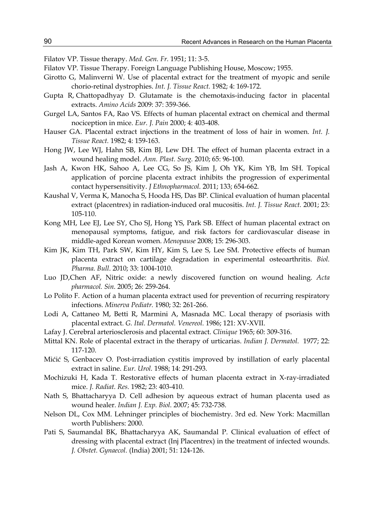- Filatov VP. Tissue therapy. *Med. Gen. Fr.* 1951; 11: 3-5.
- Filatov VP. Tissue Therapy. Foreign Language Publishing House, Moscow; 1955.
- Girotto G, Malinverni W. Use of placental extract for the treatment of myopic and senile chorio-retinal dystrophies. *Int. J. Tissue React.* 1982; 4: 169-172.
- Gupta R, Chattopadhyay D. Glutamate is the chemotaxis-inducing factor in placental extracts. *Amino Acids* 2009: 37: 359-366.
- Gurgel LA, Santos FA, Rao VS. Effects of human placental extract on chemical and thermal nociception in mice. *Eur. J. Pain* 2000; 4: 403-408.
- Hauser GA. Placental extract injections in the treatment of loss of hair in women. *Int. J. Tissue React.* 1982; 4: 159-163.
- Hong JW, Lee WJ, Hahn SB, Kim BJ, Lew DH. The effect of human placenta extract in a wound healing model. *Ann. Plast. Surg.* 2010; 65: 96-100.
- Jash A, Kwon HK, Sahoo A, Lee CG, So JS, Kim J, Oh YK, Kim YB, Im SH. Topical application of porcine placenta extract inhibits the progression of experimental contact hypersensitivity. *J Ethnopharmacol.* 2011; 133; 654-662.
- Kaushal V, Verma K, Manocha S, Hooda HS, Das BP. Clinical evaluation of human placental extract (placentrex) in radiation-induced oral mucositis. *Int. J. Tissue React.* 2001; 23: 105-110.
- Kong MH, Lee EJ, Lee SY, Cho SJ, Hong YS, Park SB. Effect of human placental extract on menopausal symptoms, fatigue, and risk factors for cardiovascular disease in middle-aged Korean women. *Menopause* 2008; 15: 296-303.
- Kim JK, Kim TH, Park SW, Kim HY, Kim S, Lee S, Lee SM. Protective effects of human placenta extract on cartilage degradation in experimental osteoarthritis. *Biol. Pharma. Bull*. 2010; 33: 1004-1010.
- Luo JD,Chen AF, Nitric oxide: a newly discovered function on wound healing. *Acta pharmacol. Sin.* 2005; 26: 259-264.
- Lo Polito F. Action of a human placenta extract used for prevention of recurring respiratory infections. *Minerva Pediatr.* 1980; 32: 261-266.
- Lodi A, Cattaneo M, Betti R, Marmini A, Masnada MC. Local therapy of psoriasis with placental extract. *G. Ital. Dermatol. Venereol.* 1986; 121: XV-XVII.
- Lafay J. Cerebral arteriosclerosis and placental extract. *Clinique* 1965; 60: 309-316.
- Mittal KN. Role of placental extract in the therapy of urticarias. *Indian J. Dermatol.* 1977; 22: 117-120.
- Mićić S, Genbacev O. Post-irradiation cystitis improved by instillation of early placental extract in saline. *Eur. Urol.* 1988; 14: 291-293.
- Mochizuki H, Kada T. Restorative effects of human placenta extract in X-ray-irradiated mice. *J. Radiat. Res.* 1982; 23: 403-410.
- Nath S, Bhattacharyya D. Cell adhesion by aqueous extract of human placenta used as wound healer. *Indian J. Exp. Biol*. 2007; 45: 732-738.
- Nelson DL, Cox MM. Lehninger principles of biochemistry. 3rd ed. New York: Macmillan worth Publishers: 2000.
- Pati S, Saumandal BK, Bhattacharyya AK, Saumandal P. Clinical evaluation of effect of dressing with placental extract (Inj Placentrex) in the treatment of infected wounds. *J. Obstet. Gynaecol.* (India) 2001; 51: 124-126.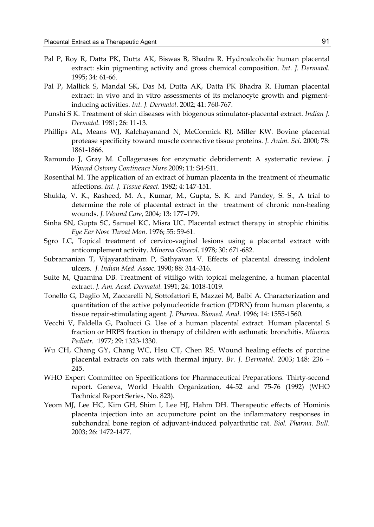- Pal P, Roy R, Datta PK, Dutta AK, Biswas B, Bhadra R. Hydroalcoholic human placental extract: skin pigmenting activity and gross chemical composition. *Int. J. Dermatol.* 1995; 34: 61-66.
- Pal P, Mallick S, Mandal SK, Das M, Dutta AK, Datta PK Bhadra R. Human placental extract: in vivo and in vitro assessments of its melanocyte growth and pigmentinducing activities. *Int. J. Dermatol.* 2002; 41: 760-767.
- Punshi S K. Treatment of skin diseases with biogenous stimulator-placental extract. *Indian J. Dermatol.* 1981; 26: 11-13.
- Phillips AL, Means WJ, Kalchayanand N, McCormick RJ, Miller KW. Bovine placental protease specificity toward muscle connective tissue proteins. *J. Anim. Sci.* 2000; 78: 1861-1866.
- Ramundo J, Gray M. Collagenases for enzymatic debridement: A systematic review. *J Wound Ostomy Continence Nurs* 2009; 11: S4-S11.
- Rosenthal M. The application of an extract of human placenta in the treatment of rheumatic affections. *Int. J. Tissue React.* 1982; 4: 147-151.
- Shukla, V. K., Rasheed, M. A., Kumar, M., Gupta, S. K. and Pandey, S. S., A trial to determine the role of placental extract in the treatment of chronic non-healing wounds. *J. Wound Care*, 2004; 13: 177–179.
- Sinha SN, Gupta SC, Samuel KC, Misra UC. Placental extract therapy in atrophic rhinitis. *Eye Ear Nose Throat Mon.* 1976; 55: 59-61.
- Sgro LC, Topical treatment of cervico-vaginal lesions using a placental extract with anticomplement activity. *Minerva Ginecol.* 1978; 30: 671-682.
- Subramanian T, Vijayarathinam P, Sathyavan V. Effects of placental dressing indolent ulcers. *J. Indian Med. Assoc.* 1990; 88: 314–316.
- Suite M, Quamina DB. Treatment of vitiligo with topical melagenine, a human placental extract. *J. Am. Acad. Dermatol.* 1991; 24: 1018-1019.
- Tonello G, Daglio M, Zaccarelli N, Sottofattori E, Mazzei M, Balbi A. Characterization and quantitation of the active polynucleotide fraction (PDRN) from human placenta, a tissue repair-stimulating agent. *J. Pharma. Biomed. Anal.* 1996; 14: 1555-1560.
- Vecchi V, Faldella G, Paolucci G. Use of a human placental extract. Human placental S fraction or HRPS fraction in therapy of children with asthmatic bronchitis. *Minerva Pediatr.* 1977; 29: 1323-1330.
- Wu CH, Chang GY, Chang WC, Hsu CT, Chen RS. Wound healing effects of porcine placental extracts on rats with thermal injury. *Br. J. Dermatol.* 2003; 148: 236 – 245.
- WHO Expert Committee on Specifications for Pharmaceutical Preparations. Thirty-second report. Geneva, World Health Organization, 44-52 and 75-76 (1992) (WHO Technical Report Series, No. 823).
- Yeom MJ, Lee HC, Kim GH, Shim I, Lee HJ, Hahm DH. Therapeutic effects of Hominis placenta injection into an acupuncture point on the inflammatory responses in subchondral bone region of adjuvant-induced polyarthritic rat. *Biol. Pharma. Bull.* 2003; 26: 1472-1477.